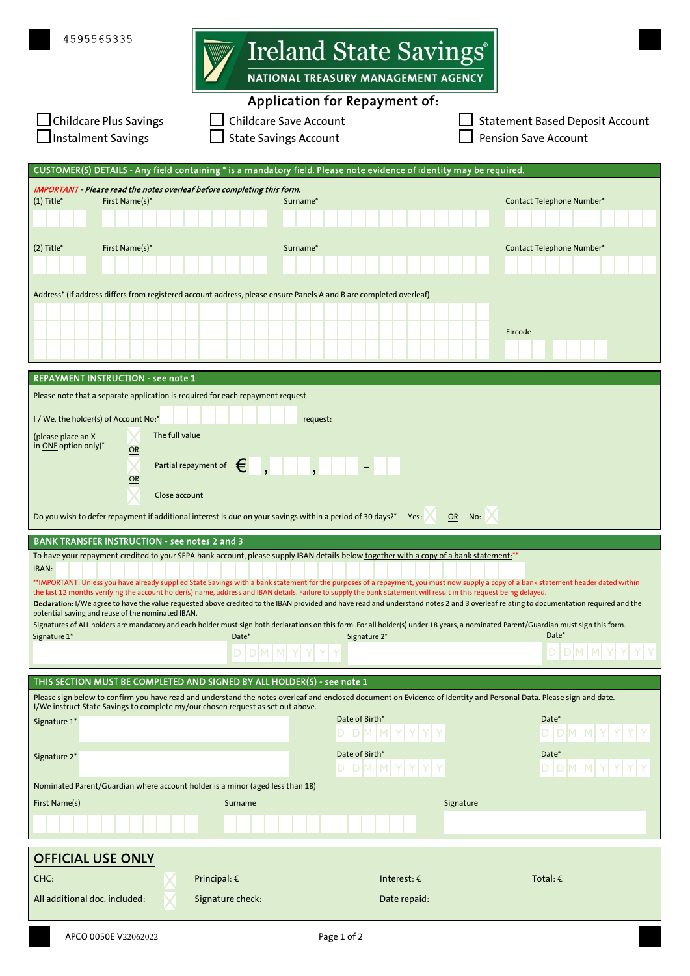| 4595565335                                                                                                                                                                                                                                                                                                                                                                                                                                                                                                                                                                                                                                                                                                                                                                                                                                                                                                                                                                                                                                                                  | Ireland State Savings <sup>®</sup><br>NATIONAL TREASURY MANAGEMENT AGENCY<br><b>Application for Repayment of:</b> |                                                                                                                  |                  |                                                                       |  |  |
|-----------------------------------------------------------------------------------------------------------------------------------------------------------------------------------------------------------------------------------------------------------------------------------------------------------------------------------------------------------------------------------------------------------------------------------------------------------------------------------------------------------------------------------------------------------------------------------------------------------------------------------------------------------------------------------------------------------------------------------------------------------------------------------------------------------------------------------------------------------------------------------------------------------------------------------------------------------------------------------------------------------------------------------------------------------------------------|-------------------------------------------------------------------------------------------------------------------|------------------------------------------------------------------------------------------------------------------|------------------|-----------------------------------------------------------------------|--|--|
| Childcare Plus Savings<br><b>Instalment Savings</b>                                                                                                                                                                                                                                                                                                                                                                                                                                                                                                                                                                                                                                                                                                                                                                                                                                                                                                                                                                                                                         | <b>Childcare Save Account</b><br><b>State Savings Account</b>                                                     |                                                                                                                  |                  | <b>Statement Based Deposit Account</b><br><b>Pension Save Account</b> |  |  |
| CUSTOMER(S) DETAILS - Any field containing * is a mandatory field. Please note evidence of identity may be required.                                                                                                                                                                                                                                                                                                                                                                                                                                                                                                                                                                                                                                                                                                                                                                                                                                                                                                                                                        |                                                                                                                   |                                                                                                                  |                  |                                                                       |  |  |
| IMPORTANT - Please read the notes overleaf before completing this form.<br>$(1)$ Title*<br>First Name(s)*                                                                                                                                                                                                                                                                                                                                                                                                                                                                                                                                                                                                                                                                                                                                                                                                                                                                                                                                                                   | Surname*                                                                                                          |                                                                                                                  |                  | Contact Telephone Number*                                             |  |  |
|                                                                                                                                                                                                                                                                                                                                                                                                                                                                                                                                                                                                                                                                                                                                                                                                                                                                                                                                                                                                                                                                             |                                                                                                                   |                                                                                                                  |                  |                                                                       |  |  |
| $(2)$ Title*<br>First Name(s)*                                                                                                                                                                                                                                                                                                                                                                                                                                                                                                                                                                                                                                                                                                                                                                                                                                                                                                                                                                                                                                              | Surname*                                                                                                          |                                                                                                                  |                  | Contact Telephone Number*                                             |  |  |
| Address* (If address differs from registered account address, please ensure Panels A and B are completed overleaf)                                                                                                                                                                                                                                                                                                                                                                                                                                                                                                                                                                                                                                                                                                                                                                                                                                                                                                                                                          |                                                                                                                   |                                                                                                                  |                  |                                                                       |  |  |
|                                                                                                                                                                                                                                                                                                                                                                                                                                                                                                                                                                                                                                                                                                                                                                                                                                                                                                                                                                                                                                                                             |                                                                                                                   |                                                                                                                  |                  |                                                                       |  |  |
|                                                                                                                                                                                                                                                                                                                                                                                                                                                                                                                                                                                                                                                                                                                                                                                                                                                                                                                                                                                                                                                                             |                                                                                                                   |                                                                                                                  |                  | Eircode                                                               |  |  |
| <b>REPAYMENT INSTRUCTION - see note 1</b>                                                                                                                                                                                                                                                                                                                                                                                                                                                                                                                                                                                                                                                                                                                                                                                                                                                                                                                                                                                                                                   |                                                                                                                   |                                                                                                                  |                  |                                                                       |  |  |
| Please note that a separate application is required for each repayment request                                                                                                                                                                                                                                                                                                                                                                                                                                                                                                                                                                                                                                                                                                                                                                                                                                                                                                                                                                                              |                                                                                                                   |                                                                                                                  |                  |                                                                       |  |  |
| I / We, the holder(s) of Account No:*<br>The full value<br>(please place an X<br>in ONE option only)*<br>OR                                                                                                                                                                                                                                                                                                                                                                                                                                                                                                                                                                                                                                                                                                                                                                                                                                                                                                                                                                 | request:                                                                                                          |                                                                                                                  |                  |                                                                       |  |  |
| Partial repayment of<br>€<br>OR<br>Close account                                                                                                                                                                                                                                                                                                                                                                                                                                                                                                                                                                                                                                                                                                                                                                                                                                                                                                                                                                                                                            |                                                                                                                   |                                                                                                                  |                  |                                                                       |  |  |
| Do you wish to defer repayment if additional interest is due on your savings within a period of 30 days?* Yes:                                                                                                                                                                                                                                                                                                                                                                                                                                                                                                                                                                                                                                                                                                                                                                                                                                                                                                                                                              |                                                                                                                   |                                                                                                                  | <b>OR</b><br>No: |                                                                       |  |  |
| <b>BANK TRANSFER INSTRUCTION - see notes 2 and 3</b><br>To have your repayment credited to your SEPA bank account, please supply IBAN details below together with a copy of a bank statement:"<br>IBAN:<br>**IMPORTANT: Unless you have already supplied State Savings with a bank statement for the purposes of a repayment, you must now supply a copy of a bank statement header dated within<br>the last 12 months verifying the account holder(s) name, address and IBAN details. Failure to supply the bank statement will result in this request being delayed.<br>Declaration: I/We agree to have the value requested above credited to the IBAN provided and have read and understand notes 2 and 3 overleaf relating to documentation required and the<br>potential saving and reuse of the nominated IBAN.<br>Signatures of ALL holders are mandatory and each holder must sign both declarations on this form. For all holder(s) under 18 years, a nominated Parent/Guardian must sign this form.<br>Date*<br>Date*<br>Signature 1*<br>Signature 2*<br>DΙ<br>D. |                                                                                                                   |                                                                                                                  |                  |                                                                       |  |  |
| THIS SECTION MUST BE COMPLETED AND SIGNED BY ALL HOLDER(S) - see note 1                                                                                                                                                                                                                                                                                                                                                                                                                                                                                                                                                                                                                                                                                                                                                                                                                                                                                                                                                                                                     |                                                                                                                   |                                                                                                                  |                  |                                                                       |  |  |
| Please sign below to confirm you have read and understand the notes overleaf and enclosed document on Evidence of Identity and Personal Data. Please sign and date.<br>I/We instruct State Savings to complete my/our chosen request as set out above.                                                                                                                                                                                                                                                                                                                                                                                                                                                                                                                                                                                                                                                                                                                                                                                                                      |                                                                                                                   |                                                                                                                  |                  |                                                                       |  |  |
| Signature 1*                                                                                                                                                                                                                                                                                                                                                                                                                                                                                                                                                                                                                                                                                                                                                                                                                                                                                                                                                                                                                                                                |                                                                                                                   | Date of Birth*<br>$D$ M $M$ Y $Y$ $Y$                                                                            |                  | Date*<br>$DM$ M Y                                                     |  |  |
| Signature 2*                                                                                                                                                                                                                                                                                                                                                                                                                                                                                                                                                                                                                                                                                                                                                                                                                                                                                                                                                                                                                                                                |                                                                                                                   | Date of Birth*<br>DMM                                                                                            |                  | Date*<br>DMM<br>D.                                                    |  |  |
| Nominated Parent/Guardian where account holder is a minor (aged less than 18)                                                                                                                                                                                                                                                                                                                                                                                                                                                                                                                                                                                                                                                                                                                                                                                                                                                                                                                                                                                               |                                                                                                                   |                                                                                                                  |                  |                                                                       |  |  |
| First Name(s)                                                                                                                                                                                                                                                                                                                                                                                                                                                                                                                                                                                                                                                                                                                                                                                                                                                                                                                                                                                                                                                               | Surname                                                                                                           |                                                                                                                  | Signature        |                                                                       |  |  |
| <b>OFFICIAL USE ONLY</b>                                                                                                                                                                                                                                                                                                                                                                                                                                                                                                                                                                                                                                                                                                                                                                                                                                                                                                                                                                                                                                                    |                                                                                                                   |                                                                                                                  |                  |                                                                       |  |  |
| CHC:                                                                                                                                                                                                                                                                                                                                                                                                                                                                                                                                                                                                                                                                                                                                                                                                                                                                                                                                                                                                                                                                        | <u> 1990 - Jan Barnett, fransk politik (</u><br>Principal: $\epsilon$                                             | $\textsf{Interest:} \varepsilon \qquad \qquad \overbrace{\qquad \qquad }$                                        |                  | $\mathsf{Total}:\mathsf{E}$ and a set of $\mathsf{C}$                 |  |  |
| All additional doc. included:                                                                                                                                                                                                                                                                                                                                                                                                                                                                                                                                                                                                                                                                                                                                                                                                                                                                                                                                                                                                                                               | Signature check:                                                                                                  | Date repaid: The contract of the contract of the contract of the contract of the contract of the contract of the |                  |                                                                       |  |  |
| APCO 0050E V22062022                                                                                                                                                                                                                                                                                                                                                                                                                                                                                                                                                                                                                                                                                                                                                                                                                                                                                                                                                                                                                                                        |                                                                                                                   | Page 1 of 2                                                                                                      |                  |                                                                       |  |  |